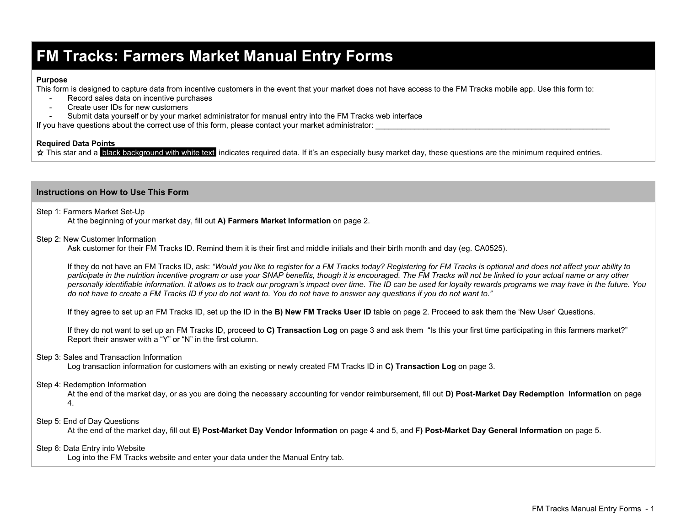## **FM Tracks: Farmers Market Manual Entry Forms**

### **Purpose**

This form is designed to capture data from incentive customers in the event that your market does not have access to the FM Tracks mobile app. Use this form to:

- Record sales data on incentive purchases
- Create user IDs for new customers
- Submit data yourself or by your market administrator for manual entry into the FM Tracks web interface

If you have questions about the correct use of this form, please contact your market administrator:

### **Required Data Points**

☆ This star and a **black background with white text** indicates required data. If it's an especially busy market day, these questions are the minimum required entries.

### **Instructions on How to Use This Form**

Step 1: Farmers Market Set-Up At the beginning of your market day, fill out **A) Farmers Market Information**on page 2.

Step 2: New Customer Information

Ask customer for their FM Tracks ID. Remind them it is their first and middle initials and their birth month and day (eg. CA0525).

If they do not have an FM Tracks ID, ask: "Would you like to register for a FM Tracks today? Registering for FM Tracks is optional and does not affect your ability to participate in the nutrition incentive program or use your SNAP benefits, though it is encouraged. The FM Tracks will not be linked to your actual name or any other personally identifiable information. It allows us to track our program's impact over time. The ID can be used for loyalty rewards programs we may have in the future. You do not have to create a FM Tracks ID if you do not want to. You do not have to answer any questions if you do not want to."

If they agree to set up an FM Tracks ID, set up the ID in the **B) New FM Tracks User ID**table on page 2. Proceed to ask them the 'New User' Questions.

If they do not want to set up an FM Tracks ID, proceed to **C) Transaction Log**on page 3 and ask them "Is this your first time participating in this farmers market?" Report their answer with a "Y" or "N" in the first column.

### Step 3: Sales and Transaction Information

Log transaction information for customers with an existing or newly created FM Tracks ID in **C) Transaction Log**on page 3.

### Step 4: Redemption Information

At the end of the market day, or as you are doing the necessary accounting for vendor reimbursement, fill out **D) PostMarket Day Redemption Information**on page 4.

Step 5: End of Day Questions

At the end of the market day, fill out **E) PostMarket Day Vendor Information** on page 4 and 5, and **F) PostMarket Day General Information** on page 5.

### Step 6: Data Entry into Website

Log into the FM Tracks website and enter your data under the Manual Entry tab.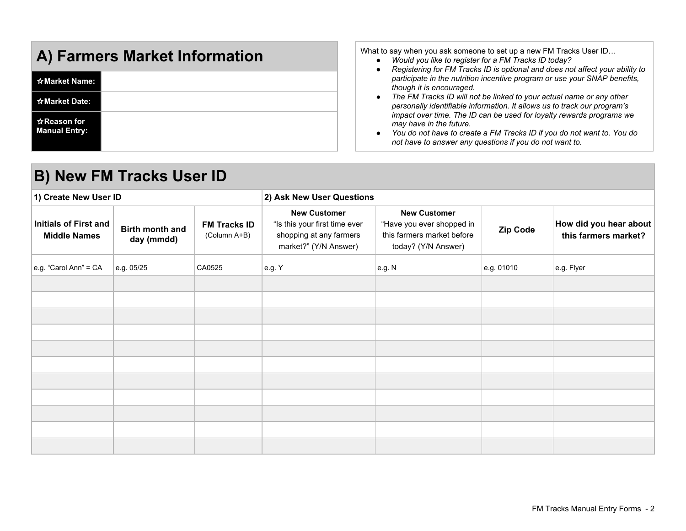| A) Farmers Market Information                         |  |  |  |
|-------------------------------------------------------|--|--|--|
| ☆Market Name:                                         |  |  |  |
| ☆Market Date:                                         |  |  |  |
| $\hat{\mathbf{x}}$ Reason for<br><b>Manual Entry:</b> |  |  |  |

What to say when you ask someone to set up a new FM Tracks User ID…

- *● Would you like to register for a FM Tracks ID today?*
- *● Registering for FM Tracks ID is optional and does not affect your ability to participate in the nutrition incentive program or use your SNAP benefits, though it is encouraged.*
- *● The FM Tracks ID will not be linked to your actual name or any other personally identifiable information. It allows us to track our program's impact over time. The ID can be used for loyalty rewards programs we may have in the future.*
- *● You do not have to create a FM Tracks ID if you do not want to. You do not have to answer any questions if you do not want to.*

| <b>B) New FM Tracks User ID</b>                     |                               |                                     |                                                                                                          |                                                                                                       |            |                                                |  |  |
|-----------------------------------------------------|-------------------------------|-------------------------------------|----------------------------------------------------------------------------------------------------------|-------------------------------------------------------------------------------------------------------|------------|------------------------------------------------|--|--|
| 1) Create New User ID                               |                               |                                     | 2) Ask New User Questions                                                                                |                                                                                                       |            |                                                |  |  |
| <b>Initials of First and</b><br><b>Middle Names</b> | Birth month and<br>day (mmdd) | <b>FM Tracks ID</b><br>(Column A+B) | <b>New Customer</b><br>"Is this your first time ever<br>shopping at any farmers<br>market?" (Y/N Answer) | <b>New Customer</b><br>"Have you ever shopped in<br>this farmers market before<br>today? (Y/N Answer) | Zip Code   | How did you hear about<br>this farmers market? |  |  |
| e.g. "Carol Ann" = CA                               | e.g. 05/25                    | CA0525                              | e.g. Y                                                                                                   | e.g. N                                                                                                | e.g. 01010 | e.g. Flyer                                     |  |  |
|                                                     |                               |                                     |                                                                                                          |                                                                                                       |            |                                                |  |  |
|                                                     |                               |                                     |                                                                                                          |                                                                                                       |            |                                                |  |  |
|                                                     |                               |                                     |                                                                                                          |                                                                                                       |            |                                                |  |  |
|                                                     |                               |                                     |                                                                                                          |                                                                                                       |            |                                                |  |  |
|                                                     |                               |                                     |                                                                                                          |                                                                                                       |            |                                                |  |  |
|                                                     |                               |                                     |                                                                                                          |                                                                                                       |            |                                                |  |  |
|                                                     |                               |                                     |                                                                                                          |                                                                                                       |            |                                                |  |  |
|                                                     |                               |                                     |                                                                                                          |                                                                                                       |            |                                                |  |  |
|                                                     |                               |                                     |                                                                                                          |                                                                                                       |            |                                                |  |  |
|                                                     |                               |                                     |                                                                                                          |                                                                                                       |            |                                                |  |  |
|                                                     |                               |                                     |                                                                                                          |                                                                                                       |            |                                                |  |  |

### **B) New FM Tracks User ID**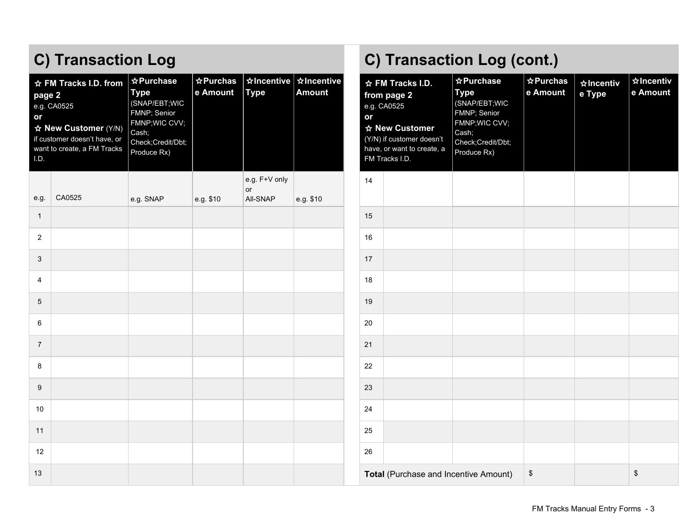| page 2<br>or<br>I.D. | ☆ FM Tracks I.D. from<br>e.g. CA0525<br>☆ New Customer (Y/N)<br>if customer doesn't have, or<br>want to create, a FM Tracks | ☆Purchase<br><b>Type</b><br>(SNAP/EBT;WIC<br>FMNP; Senior<br>FMNP; WIC CVV;<br>Cash;<br>Check;Credit/Dbt;<br>Produce Rx) | $\angle$ Purchas<br>e Amount | <b>xIncentive xIncentive</b><br><b>Type</b> | ☆ FM Tracks I.D.<br><b>Amount</b><br>from page 2<br>e.g. CA0525<br>or<br>☆ New Customer<br>(Y/N) if customer doesn't<br>have, or want to create, a<br>FM Tracks I.D. |    | ☆ Purchase<br><b>Type</b><br>(SNAP/EBT;WIC<br>FMNP; Senior<br>FMNP; WIC CVV;<br>Cash;<br>Check;Credit/Dbt;<br>Produce Rx) | $\angle$ Purchas<br>e Amount | ☆Incentiv<br>e Type | $\boldsymbol{\chi}$<br>$\mathbf{e}% _{t}\left( t\right)$ |    |
|----------------------|-----------------------------------------------------------------------------------------------------------------------------|--------------------------------------------------------------------------------------------------------------------------|------------------------------|---------------------------------------------|----------------------------------------------------------------------------------------------------------------------------------------------------------------------|----|---------------------------------------------------------------------------------------------------------------------------|------------------------------|---------------------|----------------------------------------------------------|----|
| e.g.                 | CA0525                                                                                                                      | e.g. SNAP                                                                                                                | e.g. \$10                    | e.g. F+V only<br><b>or</b><br>All-SNAP      | e.g. \$10                                                                                                                                                            | 14 |                                                                                                                           |                              |                     |                                                          |    |
| $\mathbf{1}$         |                                                                                                                             |                                                                                                                          |                              |                                             |                                                                                                                                                                      | 15 |                                                                                                                           |                              |                     |                                                          |    |
| $\overline{2}$       |                                                                                                                             |                                                                                                                          |                              |                                             |                                                                                                                                                                      | 16 |                                                                                                                           |                              |                     |                                                          |    |
| 3                    |                                                                                                                             |                                                                                                                          |                              |                                             |                                                                                                                                                                      | 17 |                                                                                                                           |                              |                     |                                                          |    |
| 4                    |                                                                                                                             |                                                                                                                          |                              |                                             |                                                                                                                                                                      | 18 |                                                                                                                           |                              |                     |                                                          |    |
| 5                    |                                                                                                                             |                                                                                                                          |                              |                                             |                                                                                                                                                                      | 19 |                                                                                                                           |                              |                     |                                                          |    |
| 6                    |                                                                                                                             |                                                                                                                          |                              |                                             |                                                                                                                                                                      | 20 |                                                                                                                           |                              |                     |                                                          |    |
| $\overline{7}$       |                                                                                                                             |                                                                                                                          |                              |                                             |                                                                                                                                                                      | 21 |                                                                                                                           |                              |                     |                                                          |    |
| 8                    |                                                                                                                             |                                                                                                                          |                              |                                             |                                                                                                                                                                      | 22 |                                                                                                                           |                              |                     |                                                          |    |
| 9                    |                                                                                                                             |                                                                                                                          |                              |                                             |                                                                                                                                                                      | 23 |                                                                                                                           |                              |                     |                                                          |    |
| 10                   |                                                                                                                             |                                                                                                                          |                              |                                             |                                                                                                                                                                      | 24 |                                                                                                                           |                              |                     |                                                          |    |
| 11                   |                                                                                                                             |                                                                                                                          |                              |                                             |                                                                                                                                                                      | 25 |                                                                                                                           |                              |                     |                                                          |    |
| 12                   |                                                                                                                             |                                                                                                                          |                              |                                             |                                                                                                                                                                      | 26 |                                                                                                                           |                              |                     |                                                          |    |
| 13                   |                                                                                                                             |                                                                                                                          |                              |                                             |                                                                                                                                                                      |    | Total (Purchase and Incentive Amount)                                                                                     |                              | $\,$                |                                                          | \$ |

# **C) Transaction Log C) Transaction Log (cont.)**

| ☆ FM Tracks I.D.<br>from page 2<br>e.g. CA0525<br>or<br>☆ New Customer<br>(Y/N) if customer doesn't<br>have, or want to create, a<br>FM Tracks I.D. | ☆ Purchase<br><b>Type</b><br>(SNAP/EBT;WIC<br>FMNP; Senior<br>FMNP;WIC CVV;<br>Cash;<br>Check;Credit/Dbt;<br>Produce Rx) | ☆ Purchas<br>e Amount | <b>☆Incentiv</b><br>e Type | <b>☆Incentiv</b><br>e Amount |
|-----------------------------------------------------------------------------------------------------------------------------------------------------|--------------------------------------------------------------------------------------------------------------------------|-----------------------|----------------------------|------------------------------|
| 14                                                                                                                                                  |                                                                                                                          |                       |                            |                              |
| 15                                                                                                                                                  |                                                                                                                          |                       |                            |                              |
| 16                                                                                                                                                  |                                                                                                                          |                       |                            |                              |
| 17                                                                                                                                                  |                                                                                                                          |                       |                            |                              |
| 18                                                                                                                                                  |                                                                                                                          |                       |                            |                              |
| 19                                                                                                                                                  |                                                                                                                          |                       |                            |                              |
| 20                                                                                                                                                  |                                                                                                                          |                       |                            |                              |
| 21                                                                                                                                                  |                                                                                                                          |                       |                            |                              |
| 22                                                                                                                                                  |                                                                                                                          |                       |                            |                              |
| 23                                                                                                                                                  |                                                                                                                          |                       |                            |                              |
| 24                                                                                                                                                  |                                                                                                                          |                       |                            |                              |
| 25                                                                                                                                                  |                                                                                                                          |                       |                            |                              |
| 26                                                                                                                                                  |                                                                                                                          |                       |                            |                              |
| Total (Purchase and Incentive Amount)                                                                                                               |                                                                                                                          | \$                    |                            | \$                           |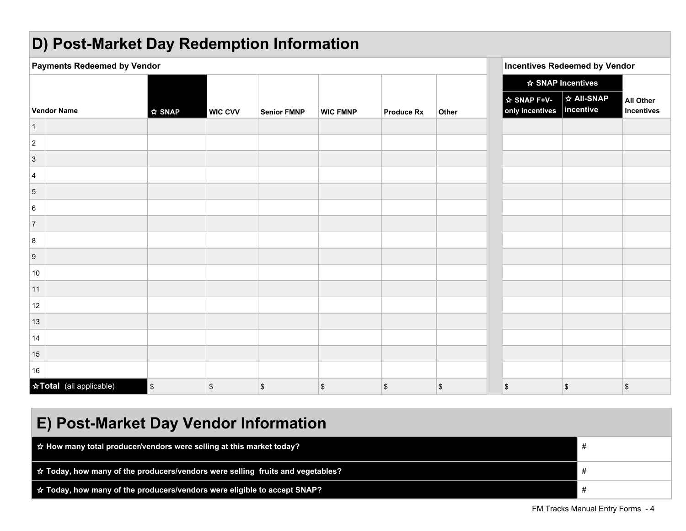# **D)** Post-Market Day Redemption Information

| $\mathbf{z}$                       | $\bullet$          |                |                    |                 |                   |       |                                          |                                      |                                |
|------------------------------------|--------------------|----------------|--------------------|-----------------|-------------------|-------|------------------------------------------|--------------------------------------|--------------------------------|
| <b>Payments Redeemed by Vendor</b> |                    |                |                    |                 |                   |       |                                          | <b>Incentives Redeemed by Vendor</b> |                                |
|                                    |                    |                |                    |                 |                   |       |                                          | ☆ SNAP Incentives                    |                                |
| <b>Vendor Name</b>                 | $\frac{1}{2}$ SNAP | <b>WIC CVV</b> | <b>Senior FMNP</b> | <b>WIC FMNP</b> | <b>Produce Rx</b> | Other | ☆ SNAP F+V-<br>only incentives incentive | <b>☆ All-SNAP</b>                    | <b>All Other</b><br>Incentives |
| $\vert$ 1                          |                    |                |                    |                 |                   |       |                                          |                                      |                                |
| $\overline{2}$                     |                    |                |                    |                 |                   |       |                                          |                                      |                                |
| $\overline{3}$                     |                    |                |                    |                 |                   |       |                                          |                                      |                                |
| $\overline{4}$                     |                    |                |                    |                 |                   |       |                                          |                                      |                                |
| $\overline{5}$                     |                    |                |                    |                 |                   |       |                                          |                                      |                                |
| 6                                  |                    |                |                    |                 |                   |       |                                          |                                      |                                |
| $\overline{7}$                     |                    |                |                    |                 |                   |       |                                          |                                      |                                |
| $\boldsymbol{8}$                   |                    |                |                    |                 |                   |       |                                          |                                      |                                |
| $\boldsymbol{9}$                   |                    |                |                    |                 |                   |       |                                          |                                      |                                |
| 10                                 |                    |                |                    |                 |                   |       |                                          |                                      |                                |
| 11                                 |                    |                |                    |                 |                   |       |                                          |                                      |                                |
| 12                                 |                    |                |                    |                 |                   |       |                                          |                                      |                                |
| 13                                 |                    |                |                    |                 |                   |       |                                          |                                      |                                |
| 14                                 |                    |                |                    |                 |                   |       |                                          |                                      |                                |
| 15                                 |                    |                |                    |                 |                   |       |                                          |                                      |                                |
| 16                                 |                    |                |                    |                 |                   |       |                                          |                                      |                                |
| ☆Total (all applicable)            | $\mathbb{S}$       | \$             | \$                 | \$              | \$                | \$    | \$                                       | $\sqrt{2}$                           | $\,$                           |

| E) Post-Market Day Vendor Information                                                 |   |  |  |  |
|---------------------------------------------------------------------------------------|---|--|--|--|
| $\hat{\mathbf{x}}$ How many total producer/vendors were selling at this market today? | # |  |  |  |
| ☆ Today, how many of the producers/vendors were selling fruits and vegetables?        | # |  |  |  |
| $\frac{1}{N}$ Today, how many of the producers/vendors were eligible to accept SNAP?  |   |  |  |  |

FM Tracks Manual Entry Forms - 4